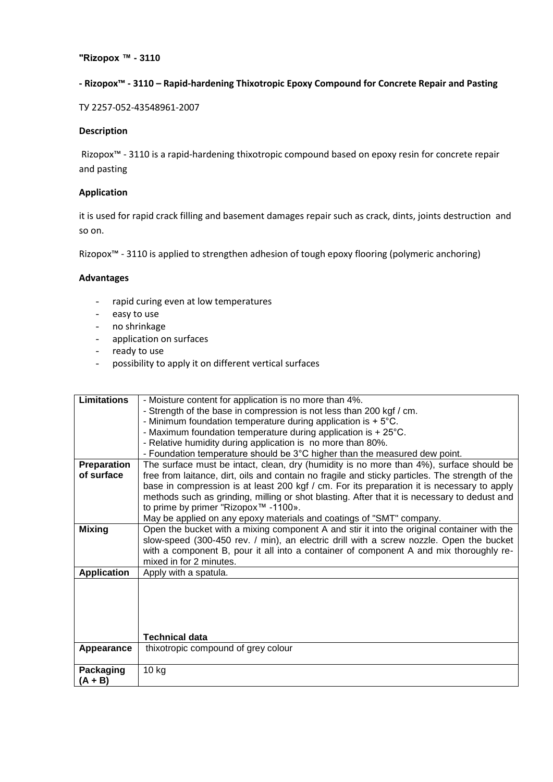# **- Rizopox™ - 3110 – Rapid-hardening Thixotropic Epoxy Compound for Concrete Repair and Pasting**

ТУ 2257-052-43548961-2007

## **Description**

Rizopox™ - 3110 is a rapid-hardening thixotropic compound based on epoxy resin for concrete repair and pasting

## **Application**

it is used for rapid crack filling and basement damages repair such as crack, dints, joints destruction and so on.

Rizopox™ - 3110 is applied to strengthen adhesion of tough epoxy flooring (polymeric anchoring)

#### **Advantages**

- rapid curing even at low temperatures
- easy to use
- no shrinkage
- application on surfaces
- ready to use
- possibility to apply it on different vertical surfaces

| <b>Limitations</b> | - Moisture content for application is no more than 4%.                                          |
|--------------------|-------------------------------------------------------------------------------------------------|
|                    | - Strength of the base in compression is not less than 200 kgf / cm.                            |
|                    | - Minimum foundation temperature during application is $+5^{\circ}$ C.                          |
|                    | - Maximum foundation temperature during application is $+25^{\circ}$ C.                         |
|                    | - Relative humidity during application is no more than 80%.                                     |
|                    | - Foundation temperature should be 3°C higher than the measured dew point.                      |
| Preparation        | The surface must be intact, clean, dry (humidity is no more than 4%), surface should be         |
| of surface         | free from laitance, dirt, oils and contain no fragile and sticky particles. The strength of the |
|                    | base in compression is at least 200 kgf / cm. For its preparation it is necessary to apply      |
|                    | methods such as grinding, milling or shot blasting. After that it is necessary to dedust and    |
|                    | to prime by primer "Rizopox <sup>™</sup> -1100».                                                |
|                    | May be applied on any epoxy materials and coatings of "SMT" company.                            |
| <b>Mixing</b>      | Open the bucket with a mixing component A and stir it into the original container with the      |
|                    | slow-speed (300-450 rev. / min), an electric drill with a screw nozzle. Open the bucket         |
|                    | with a component B, pour it all into a container of component A and mix thoroughly re-          |
|                    | mixed in for 2 minutes.                                                                         |
| <b>Application</b> | Apply with a spatula.                                                                           |
|                    |                                                                                                 |
|                    |                                                                                                 |
|                    |                                                                                                 |
|                    |                                                                                                 |
|                    |                                                                                                 |
|                    | <b>Technical data</b>                                                                           |
| Appearance         | thixotropic compound of grey colour                                                             |
|                    |                                                                                                 |
| Packaging          | 10 kg                                                                                           |
| $(A + B)$          |                                                                                                 |